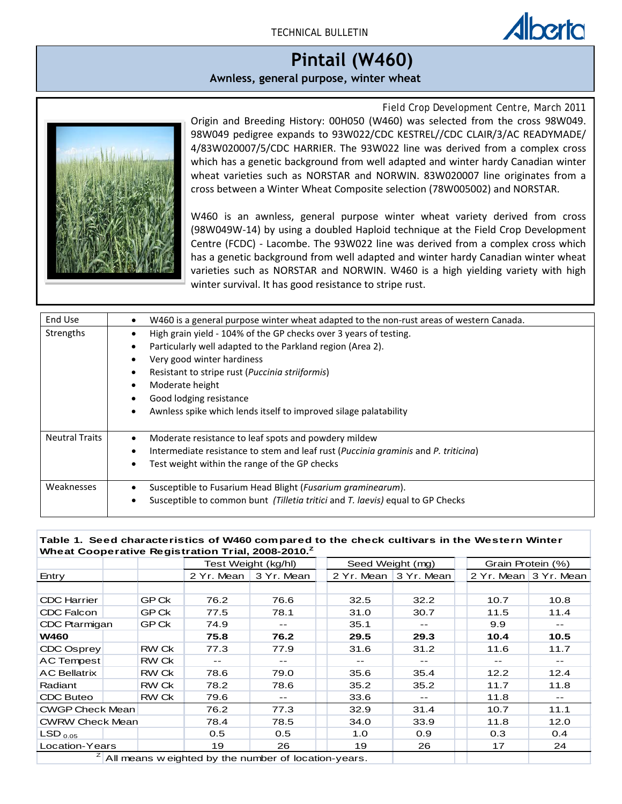## Field Crop Development Centre – March 2008 **Pintail (W460)**

## **Awnless, general purpose, winter wheat**

*Field Crop Development Centre, March 2011*



Origin and Breeding History: 00H050 (W460) was selected from the cross 98W049. 98W049 pedigree expands to 93W022/CDC KESTREL//CDC CLAIR/3/AC READYMADE/ 4/83W020007/5/CDC HARRIER. The 93W022 line was derived from a complex cross which has a genetic background from well adapted and winter hardy Canadian winter wheat varieties such as NORSTAR and NORWIN. 83W020007 line originates from a cross between a Winter Wheat Composite selection (78W005002) and NORSTAR.

W460 is an awnless, general purpose winter wheat variety derived from cross (98W049W-14) by using a doubled Haploid technique at the Field Crop Development Centre (FCDC) - Lacombe. The 93W022 line was derived from a complex cross which has a genetic background from well adapted and winter hardy Canadian winter wheat varieties such as NORSTAR and NORWIN. W460 is a high yielding variety with high winter survival. It has good resistance to stripe rust.

| End Use               | W460 is a general purpose winter wheat adapted to the non-rust areas of western Canada. |
|-----------------------|-----------------------------------------------------------------------------------------|
| Strengths             | High grain yield - 104% of the GP checks over 3 years of testing.                       |
|                       | Particularly well adapted to the Parkland region (Area 2).                              |
|                       | Very good winter hardiness                                                              |
|                       | Resistant to stripe rust ( <i>Puccinia striiformis</i> )                                |
|                       | Moderate height                                                                         |
|                       | Good lodging resistance                                                                 |
|                       | Awnless spike which lends itself to improved silage palatability                        |
| <b>Neutral Traits</b> | Moderate resistance to leaf spots and powdery mildew                                    |
|                       | Intermediate resistance to stem and leaf rust (Puccinia graminis and P. triticina)      |
|                       | Test weight within the range of the GP checks                                           |
| Weaknesses            | Susceptible to Fusarium Head Blight (Fusarium graminearum).                             |
|                       | Susceptible to common bunt (Tilletia tritici and T. laevis) equal to GP Checks          |

## **Table 1. Seed characteristics of W460 compared to the check cultivars in the Western Winter Wheat Cooperative Registration Trial, 2008-2010.Z**

|                                                            |  |              |            | Test Weight (kg/hl) |  | Seed Weight (mg) |                       | Grain Protein (%) |                       |
|------------------------------------------------------------|--|--------------|------------|---------------------|--|------------------|-----------------------|-------------------|-----------------------|
| Entry                                                      |  |              | 2 Yr. Mean | 3 Yr. Mean          |  |                  | 2 Yr. Mean 3 Yr. Mean |                   | 2 Yr. Mean 3 Yr. Mean |
|                                                            |  |              |            |                     |  |                  |                       |                   |                       |
| <b>CDC Harrier</b>                                         |  | GP Ck        | 76.2       | 76.6                |  | 32.5             | 32.2                  | 10.7              | 10.8                  |
| CDC Falcon                                                 |  | GP Ck        | 77.5       | 78.1                |  | 31.0             | 30.7                  | 11.5              | 11.4                  |
| CDC Ptarmigan                                              |  | GP Ck        | 74.9       | $- -$               |  | 35.1             | --                    | 9.9               |                       |
| <b>W460</b>                                                |  |              | 75.8       | 76.2                |  | 29.5             | 29.3                  | 10.4              | 10.5                  |
| CDC Osprey                                                 |  | <b>RW Ck</b> | 77.3       | 77.9                |  | 31.6             | 31.2                  | 11.6              | 11.7                  |
| <b>AC Tempest</b>                                          |  | <b>RW Ck</b> | $- -$      | --                  |  |                  |                       |                   |                       |
| <b>AC Bellatrix</b>                                        |  | <b>RW Ck</b> | 78.6       | 79.0                |  | 35.6             | 35.4                  | 12.2              | 12.4                  |
| Radiant                                                    |  | <b>RW Ck</b> | 78.2       | 78.6                |  | 35.2             | 35.2                  | 11.7              | 11.8                  |
| CDC Buteo                                                  |  | <b>RW Ck</b> | 79.6       |                     |  | 33.6             |                       | 11.8              | --                    |
| <b>CWGP Check Mean</b>                                     |  |              | 76.2       | 77.3                |  | 32.9             | 31.4                  | 10.7              | 11.1                  |
| <b>CWRW Check Mean</b>                                     |  |              | 78.4       | 78.5                |  | 34.0             | 33.9                  | 11.8              | 12.0                  |
| $\mathsf{LSD}_{\,0.05}$                                    |  |              | 0.5        | 0.5                 |  | 1.0              | 0.9                   | 0.3               | 0.4                   |
| Location-Years                                             |  |              | 19         | 26                  |  | 19               | 26                    | 17                | 24                    |
| z.<br>All means w eighted by the number of location-years. |  |              |            |                     |  |                  |                       |                   |                       |